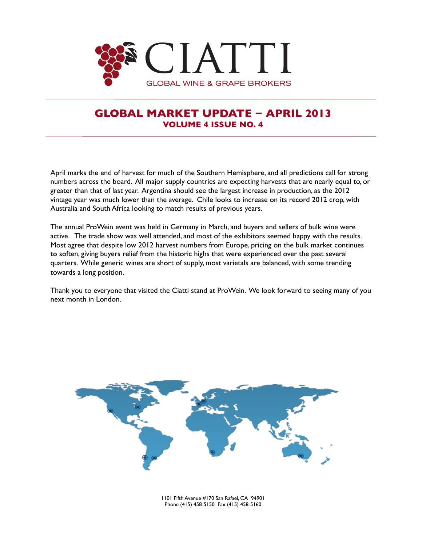

 $\overline{a}$ 

# **GLOBAL MARKET UPDATE − APRIL 2013 VOLUME 4 ISSUE NO. 4**

April marks the end of harvest for much of the Southern Hemisphere, and all predictions call for strong numbers across the board. All major supply countries are expecting harvests that are nearly equal to, or greater than that of last year. Argentina should see the largest increase in production, as the 2012 vintage year was much lower than the average. Chile looks to increase on its record 2012 crop, with Australia and South Africa looking to match results of previous years.

The annual ProWein event was held in Germany in March, and buyers and sellers of bulk wine were active. The trade show was well attended, and most of the exhibitors seemed happy with the results. Most agree that despite low 2012 harvest numbers from Europe, pricing on the bulk market continues to soften, giving buyers relief from the historic highs that were experienced over the past several quarters. While generic wines are short of supply, most varietals are balanced, with some trending towards a long position.

Thank you to everyone that visited the Ciatti stand at ProWein. We look forward to seeing many of you next month in London.



1101 Fifth Avenue #170 San Rafael, CA 94901 Phone (415) 458-5150 Fax (415) 458-5160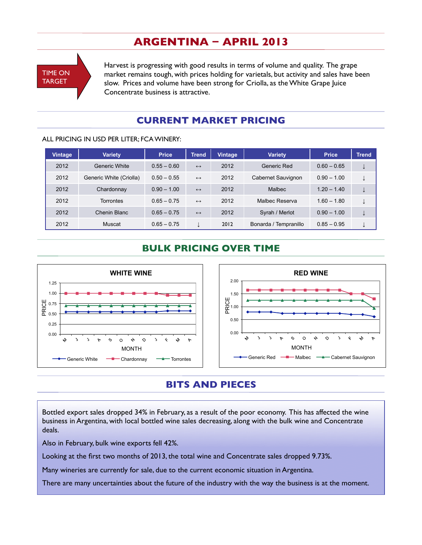# **ARGENTINA − APRIL 2013**

TIME ON TARGET

Harvest is progressing with good results in terms of volume and quality. The grape market remains tough, with prices holding for varietals, but activity and sales have been slow. Prices and volume have been strong for Criolla, as the White Grape Juice Concentrate business is attractive.

# **CURRENT MARKET PRICING**

#### ALL PRICING IN USD PER LITER; FCA WINERY:

| <b>Vintage</b> | <b>Variety</b>          | <b>Price</b>  | <b>Trend</b>      | <b>Vintage</b> | <b>Variety</b>        | <b>Price</b>  | <b>Trend</b> |
|----------------|-------------------------|---------------|-------------------|----------------|-----------------------|---------------|--------------|
| 2012           | Generic White           | $0.55 - 0.60$ | $\leftrightarrow$ | 2012           | Generic Red           | $0.60 - 0.65$ | ◡            |
| 2012           | Generic White (Criolla) | $0.50 - 0.55$ | $\leftrightarrow$ | 2012           | Cabernet Sauvignon    | $0.90 - 1.00$ | ↓            |
| 2012           | Chardonnay              | $0.90 - 1.00$ | $\leftrightarrow$ | 2012           | <b>Malbec</b>         | $1.20 - 1.40$ | ↓            |
| 2012           | Torrontes               | $0.65 - 0.75$ | $\leftrightarrow$ | 2012           | Malbec Reserva        | $1.60 - 1.80$ | ↓            |
| 2012           | Chenin Blanc            | $0.65 - 0.75$ | $\leftrightarrow$ | 2012           | Syrah / Merlot        | $0.90 - 1.00$ |              |
| 2012           | Muscat                  | $0.65 - 0.75$ |                   | 2012           | Bonarda / Tempranillo | $0.85 - 0.95$ |              |

### **BULK PRICING OVER TIME**



# **BITS AND PIECES**

Bottled export sales dropped 34% in February, as a result of the poor economy. This has affected the wine business in Argentina, with local bottled wine sales decreasing, along with the bulk wine and Concentrate deals.

Also in February, bulk wine exports fell 42%.

Looking at the first two months of 2013, the total wine and Concentrate sales dropped 9.73%.

Many wineries are currently for sale, due to the current economic situation in Argentina.

There are many uncertainties about the future of the industry with the way the business is at the moment.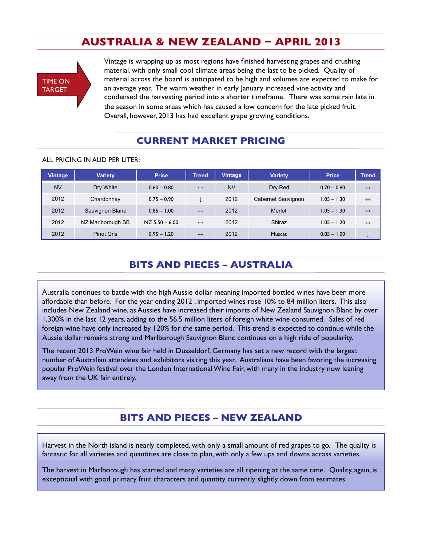# **AUSTRALIA & NEW ZEALAND − APRIL 2013**



Vintage is wrapping up as most regions have finished harvesting grapes and crushing material, with only small cool climate areas being the last to be picked. Quality of material across the board is anticipated to be high and volumes are expected to make for an average year. The warm weather in early January increased vine activity and condensed the harvesting period into a shorter timeframe. There was some rain late in the season in some areas which has caused a low concern for the late picked fruit. Overall, however, 2013 has had excellent grape growing conditions.

### **CURRENT MARKET PRICING**

#### ALL PRICING IN AUD PER LITER:

| <b>Vintage</b> | <b>Variety</b>    | <b>Price</b>       | <b>Trend</b>      | <b>Vintage</b> | <b>Variety</b>     | <b>Price</b>  | <b>Trend</b>      |
|----------------|-------------------|--------------------|-------------------|----------------|--------------------|---------------|-------------------|
| <b>NV</b>      | Dry White         | $0.60 - 0.80$      | $\leftrightarrow$ | <b>NV</b>      | Dry Red            | $0.70 - 0.80$ | $\leftrightarrow$ |
| 2012           | Chardonnay        | $0.75 - 0.90$      |                   | 2012           | Cabernet Sauvignon | $1.05 - 1.30$ | $\leftrightarrow$ |
| 2012           | Sauvignon Blanc   | $0.85 - 1.00$      | $\leftrightarrow$ | 2012           | Merlot             | $1.05 - 1.30$ | $\leftrightarrow$ |
| 2012           | NZ Marlborough SB | $NZ$ 5.50 $-$ 6.00 | $\leftrightarrow$ | 2012           | Shiraz             | $1.05 - 1.20$ | $\leftrightarrow$ |
| 2012           | <b>Pinot Gris</b> | $0.95 - 1.20$      | $\leftrightarrow$ | 2012           | Muscat             | $0.85 - 1.00$ |                   |

# **BITS AND PIECES – AUSTRALIA**

Australia continues to battle with the high Aussie dollar meaning imported bottled wines have been more affordable than before. For the year ending 2012 , imported wines rose 10% to 84 million liters. This also includes New Zealand wine, as Aussies have increased their imports of New Zealand Sauvignon Blanc by over 1,300% in the last 12 years, adding to the 56.5 million liters of foreign white wine consumed. Sales of red foreign wine have only increased by 120% for the same period. This trend is expected to continue while the Aussie dollar remains strong and Marlborough Sauvignon Blanc continues on a high ride of popularity.

The recent 2013 ProWein wine fair held in Dusseldorf, Germany has set a new record with the largest number of Australian attendees and exhibitors visiting this year. Australians have been favoring the increasing popular ProWein festival over the London International Wine Fair, with many in the industry now leaning away from the UK fair entirely.

# **BITS AND PIECES – NEW ZEALAND**

Harvest in the North island is nearly completed, with only a small amount of red grapes to go. The quality is fantastic for all varieties and quantities are close to plan, with only a few ups and downs across varieties.

The harvest in Marlborough has started and many varieties are all ripening at the same time. Quality, again, is exceptional with good primary fruit characters and quantity currently slightly down from estimates.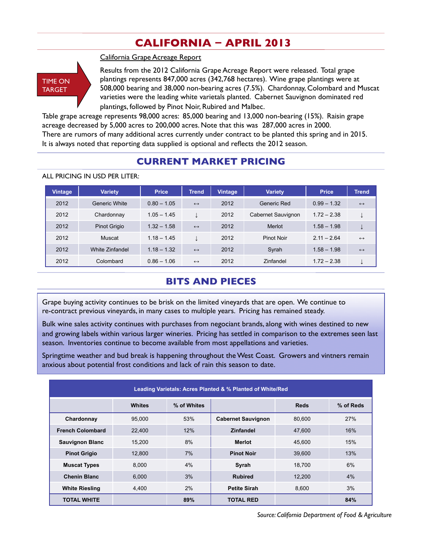# **CALIFORNIA − APRIL 2013**

**TIME ON** TARGET

California Grape Acreage Report

Results from the 2012 California Grape Acreage Report were released. Total grape plantings represents 847,000 acres (342,768 hectares). Wine grape plantings were at 508,000 bearing and 38,000 non-bearing acres (7.5%). Chardonnay, Colombard and Muscat varieties were the leading white varietals planted. Cabernet Sauvignon dominated red plantings, followed by Pinot Noir, Rubired and Malbec.

Table grape acreage represents 98,000 acres: 85,000 bearing and 13,000 non-bearing (15%). Raisin grape acreage decreased by 5,000 acres to 200,000 acres. Note that this was 287,000 acres in 2000. There are rumors of many additional acres currently under contract to be planted this spring and in 2015. It is always noted that reporting data supplied is optional and reflects the 2012 season.

## **CURRENT MARKET PRICING**

| <b>Vintage</b> | <b>Variety</b>       | <b>Price</b>  | <b>Trend</b>      | <b>Vintage</b> | <b>Variety</b>     | <b>Price</b>  | <b>Trend</b>      |
|----------------|----------------------|---------------|-------------------|----------------|--------------------|---------------|-------------------|
| 2012           | <b>Generic White</b> | $0.80 - 1.05$ | $\leftrightarrow$ | 2012           | Generic Red        | $0.99 - 1.32$ | $\leftrightarrow$ |
| 2012           | Chardonnay           | $1.05 - 1.45$ | ↓                 | 2012           | Cabernet Sauvignon | $1.72 - 2.38$ |                   |
| 2012           | <b>Pinot Grigio</b>  | $1.32 - 1.58$ | $\leftrightarrow$ | 2012           | Merlot             | $1.58 - 1.98$ |                   |
| 2012           | Muscat               | $1.18 - 1.45$ | ↓                 | 2012           | Pinot Noir         | $2.11 - 2.64$ | $\leftrightarrow$ |
| 2012           | White Zinfandel      | $1.18 - 1.32$ | $\leftrightarrow$ | 2012           | Syrah              | $1.58 - 1.98$ | $\leftrightarrow$ |
| 2012           | Colombard            | $0.86 - 1.06$ | $\leftrightarrow$ | 2012           | Zinfandel          | $1.72 - 2.38$ |                   |

#### ALL PRICING IN USD PER LITER:

### **BITS AND PIECES**

Grape buying activity continues to be brisk on the limited vineyards that are open. We continue to re-contract previous vineyards, in many cases to multiple years. Pricing has remained steady.

Bulk wine sales activity continues with purchases from negociant brands, along with wines destined to new and growing labels within various larger wineries. Pricing has settled in comparison to the extremes seen last season. Inventories continue to become available from most appellations and varieties.

Springtime weather and bud break is happening throughout the West Coast. Growers and vintners remain anxious about potential frost conditions and lack of rain this season to date.

| Leading Varietals: Acres Planted & % Planted of White/Red |        |     |                           |        |     |  |  |  |
|-----------------------------------------------------------|--------|-----|---------------------------|--------|-----|--|--|--|
| % of Reds<br>% of Whites<br><b>Whites</b><br><b>Reds</b>  |        |     |                           |        |     |  |  |  |
| Chardonnay                                                | 95.000 | 53% | <b>Cabernet Sauvignon</b> | 80.600 | 27% |  |  |  |
| <b>French Colombard</b>                                   | 22,400 | 12% | <b>Zinfandel</b>          | 47,600 | 16% |  |  |  |
| <b>Sauvignon Blanc</b>                                    | 15.200 | 8%  | <b>Merlot</b>             | 45.600 | 15% |  |  |  |
| <b>Pinot Grigio</b>                                       | 12,800 | 7%  | <b>Pinot Noir</b>         | 39,600 | 13% |  |  |  |
| <b>Muscat Types</b>                                       | 8.000  | 4%  | Syrah                     | 18.700 | 6%  |  |  |  |
| <b>Chenin Blanc</b>                                       | 6,000  | 3%  | <b>Rubired</b>            | 12,200 | 4%  |  |  |  |
| <b>White Riesling</b>                                     | 4,400  | 2%  | <b>Petite Sirah</b>       | 8.600  | 3%  |  |  |  |
| <b>TOTAL WHITE</b>                                        |        | 89% | <b>TOTAL RED</b>          |        | 84% |  |  |  |

*Source: California Department of Food & Agriculture*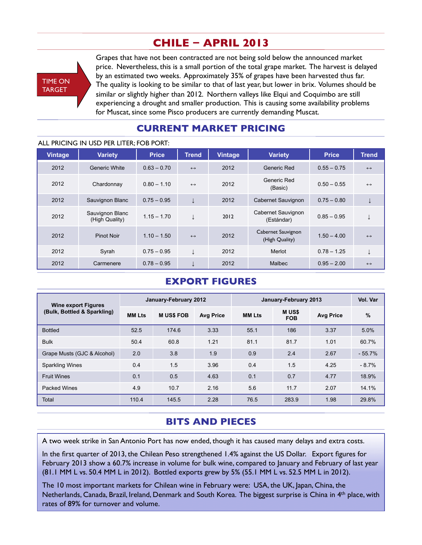# **CHILE − APRIL 2013**



Grapes that have not been contracted are not being sold below the announced market price. Nevertheless, this is a small portion of the total grape market. The harvest is delayed by an estimated two weeks. Approximately 35% of grapes have been harvested thus far. The quality is looking to be similar to that of last year, but lower in brix. Volumes should be similar or slightly higher than 2012. Northern valleys like Elqui and Coquimbo are still experiencing a drought and smaller production. This is causing some availability problems for Muscat, since some Pisco producers are currently demanding Muscat.

## **CURRENT MARKET PRICING**

#### ALL PRICING IN USD PER LITER; FOB PORT:

|                | ALL FNICING IN USD FEN LITEN, FOB FONT. |               |                   |         |                                      |               |                   |
|----------------|-----------------------------------------|---------------|-------------------|---------|--------------------------------------|---------------|-------------------|
| <b>Vintage</b> | <b>Variety</b>                          | <b>Price</b>  | <b>Trend</b>      | Vintage | <b>Variety</b>                       | <b>Price</b>  | <b>Trend</b>      |
| 2012           | <b>Generic White</b>                    | $0.63 - 0.70$ | $\leftrightarrow$ | 2012    | Generic Red                          | $0.55 - 0.75$ | $\leftrightarrow$ |
| 2012           | Chardonnay                              | $0.80 - 1.10$ | $\leftrightarrow$ | 2012    | Generic Red<br>(Basic)               | $0.50 - 0.55$ | $\leftrightarrow$ |
| 2012           | Sauvignon Blanc                         | $0.75 - 0.95$ |                   | 2012    | Cabernet Sauvignon                   | $0.75 - 0.80$ |                   |
| 2012           | Sauvignon Blanc<br>(High Quality)       | $1.15 - 1.70$ |                   | 2012    | Cabernet Sauvignon<br>(Estándar)     | $0.85 - 0.95$ |                   |
| 2012           | <b>Pinot Noir</b>                       | $1.10 - 1.50$ | $\leftrightarrow$ | 2012    | Cabernet Sauvignon<br>(High Quality) | $1.50 - 4.00$ | $\leftrightarrow$ |
| 2012           | Syrah                                   | $0.75 - 0.95$ |                   | 2012    | Merlot                               | $0.78 - 1.25$ |                   |
| 2012           | Carmenere                               | $0.78 - 0.95$ |                   | 2012    | <b>Malbec</b>                        | $0.95 - 2.00$ | $\leftrightarrow$ |

### **EXPORT FIGURES**

| <b>Wine export Figures</b>  |               | January-February 2012 |                  |               | January-February 2013      |                  | Vol. Var |
|-----------------------------|---------------|-----------------------|------------------|---------------|----------------------------|------------------|----------|
| (Bulk, Bottled & Sparkling) | <b>MM Lts</b> | <b>MUSS FOB</b>       | <b>Avg Price</b> | <b>MM Lts</b> | <b>MUS\$</b><br><b>FOB</b> | <b>Avg Price</b> | %        |
| <b>Bottled</b>              | 52.5          | 174.6                 | 3.33             | 55.1          | 186                        | 3.37             | 5.0%     |
| <b>Bulk</b>                 | 50.4          | 60.8                  | 1.21             | 81.1          | 81.7                       | 1.01             | 60.7%    |
| Grape Musts (GJC & Alcohol) | 2.0           | 3.8                   | 1.9              | 0.9           | 2.4                        | 2.67             | $-55.7%$ |
| <b>Sparkling Wines</b>      | 0.4           | 1.5                   | 3.96             | 0.4           | 1.5                        | 4.25             | $-8.7%$  |
| <b>Fruit Wines</b>          | 0.1           | 0.5                   | 4.63             | 0.1           | 0.7                        | 4.77             | 18.9%    |
| <b>Packed Wines</b>         | 4.9           | 10.7                  | 2.16             | 5.6           | 11.7                       | 2.07             | 14.1%    |
| Total                       | 110.4         | 145.5                 | 2.28             | 76.5          | 283.9                      | 1.98             | 29.8%    |

# **BITS AND PIECES**

A two week strike in San Antonio Port has now ended, though it has caused many delays and extra costs.

In the first quarter of 2013, the Chilean Peso strengthened 1.4% against the US Dollar. Export figures for February 2013 show a 60.7% increase in volume for bulk wine, compared to January and February of last year (81.1 MM L vs. 50.4 MM L in 2012). Bottled exports grew by 5% (55.1 MM L vs. 52.5 MM L in 2012).

The 10 most important markets for Chilean wine in February were: USA, the UK, Japan, China, the Netherlands, Canada, Brazil, Ireland, Denmark and South Korea. The biggest surprise is China in 4th place, with rates of 89% for turnover and volume.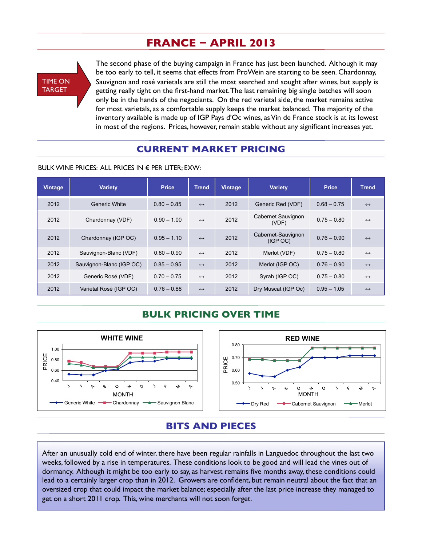# **FRANCE − APRIL 2013**



The second phase of the buying campaign in France has just been launched. Although it may be too early to tell, it seems that effects from ProWein are starting to be seen. Chardonnay, Sauvignon and rosé varietals are still the most searched and sought after wines, but supply is getting really tight on the first-hand market. The last remaining big single batches will soon only be in the hands of the negociants. On the red varietal side, the market remains active for most varietals, as a comfortable supply keeps the market balanced. The majority of the inventory available is made up of IGP Pays d'Oc wines, as Vin de France stock is at its lowest in most of the regions. Prices, however, remain stable without any significant increases yet.

## **CURRENT MARKET PRICING**

BULK WINE PRICES: ALL PRICES IN  $\epsilon$  PER LITER: EXW:

| <b>Vintage</b> | <b>Variety</b>           | <b>Price</b>  | <b>Trend</b>      | Vintage | <b>Variety</b>                 | <b>Price</b>  | <b>Trend</b>      |
|----------------|--------------------------|---------------|-------------------|---------|--------------------------------|---------------|-------------------|
| 2012           | Generic White            | $0.80 - 0.85$ | $\leftrightarrow$ | 2012    | Generic Red (VDF)              | $0.68 - 0.75$ | $\leftrightarrow$ |
| 2012           | Chardonnay (VDF)         | $0.90 - 1.00$ | $\leftrightarrow$ | 2012    | Cabernet Sauvignon<br>(VDF)    | $0.75 - 0.80$ | $\leftrightarrow$ |
| 2012           | Chardonnay (IGP OC)      | $0.95 - 1.10$ | $\leftrightarrow$ | 2012    | Cabernet-Sauvignon<br>(IGP OC) | $0.76 - 0.90$ | $\leftrightarrow$ |
| 2012           | Sauvignon-Blanc (VDF)    | $0.80 - 0.90$ | $\leftrightarrow$ | 2012    | Merlot (VDF)                   | $0.75 - 0.80$ | $\leftrightarrow$ |
| 2012           | Sauvignon-Blanc (IGP OC) | $0.85 - 0.95$ | $\leftrightarrow$ | 2012    | Merlot (IGP OC)                | $0.76 - 0.90$ | $\leftrightarrow$ |
| 2012           | Generic Rosé (VDF)       | $0.70 - 0.75$ | $\leftrightarrow$ | 2012    | Syrah (IGP OC)                 | $0.75 - 0.80$ | $\leftrightarrow$ |
| 2012           | Varietal Rosé (IGP OC)   | $0.76 - 0.88$ | $\leftrightarrow$ | 2012    | Dry Muscat (IGP Oc)            | $0.95 - 1.05$ | $\leftrightarrow$ |

### **BULK PRICING OVER TIME**



### **BITS AND PIECES**

After an unusually cold end of winter, there have been regular rainfalls in Languedoc throughout the last two weeks, followed by a rise in temperatures. These conditions look to be good and will lead the vines out of dormancy. Although it might be too early to say, as harvest remains five months away, these conditions could lead to a certainly larger crop than in 2012. Growers are confident, but remain neutral about the fact that an oversized crop that could impact the market balance; especially after the last price increase they managed to get on a short 2011 crop. This, wine merchants will not soon forget.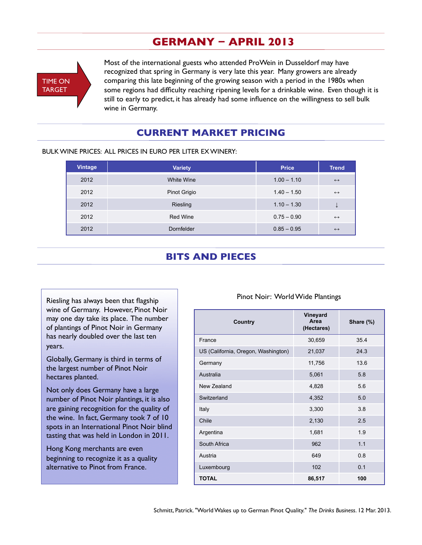# **GERMANY − APRIL 2013**



Most of the international guests who attended ProWein in Dusseldorf may have recognized that spring in Germany is very late this year. Many growers are already comparing this late beginning of the growing season with a period in the 1980s when some regions had difficulty reaching ripening levels for a drinkable wine. Even though it is still to early to predict, it has already had some influence on the willingness to sell bulk wine in Germany.

### **CURRENT MARKET PRICING**

| <b>Vintage</b> | <b>Variety</b>  | <b>Price</b>  | <b>Trend</b>      |
|----------------|-----------------|---------------|-------------------|
| 2012           | White Wine      | $1.00 - 1.10$ | $\leftrightarrow$ |
| 2012           | Pinot Grigio    | $1.40 - 1.50$ | $\leftrightarrow$ |
| 2012           | Riesling        | $1.10 - 1.30$ | ए                 |
| 2012           | <b>Red Wine</b> | $0.75 - 0.90$ | $\leftrightarrow$ |
| 2012           | Dornfelder      | $0.85 - 0.95$ | $\leftrightarrow$ |

#### BULK WINE PRICES: ALL PRICES IN EURO PER LITER EX WINERY:

## **BITS AND PIECES**

Riesling has always been that flagship wine of Germany. However, Pinot Noir may one day take its place. The number of plantings of Pinot Noir in Germany has nearly doubled over the last ten years.

Globally, Germany is third in terms of the largest number of Pinot Noir hectares planted.

Not only does Germany have a large number of Pinot Noir plantings, it is also are gaining recognition for the quality of the wine. In fact, Germany took 7 of 10 spots in an International Pinot Noir blind tasting that was held in London in 2011.

Hong Kong merchants are even beginning to recognize it as a quality alternative to Pinot from France.

#### Pinot Noir: World Wide Plantings

| Country                             | Vineyard<br>Area<br>(Hectares) | Share (%) |
|-------------------------------------|--------------------------------|-----------|
| France                              | 30,659                         | 35.4      |
| US (California, Oregon, Washington) | 21,037                         | 24.3      |
| Germany                             | 11,756                         | 13.6      |
| Australia                           | 5,061                          | 5.8       |
| New Zealand                         | 4,828                          | 5.6       |
| Switzerland                         | 4,352                          | 5.0       |
| Italy                               | 3,300                          | 3.8       |
| Chile                               | 2,130                          | 2.5       |
| Argentina                           | 1,681                          | 1.9       |
| South Africa                        | 962                            | 1.1       |
| Austria                             | 649                            | 0.8       |
| Luxembourg                          | 102                            | 0.1       |
| <b>TOTAL</b>                        | 86,517                         | 100       |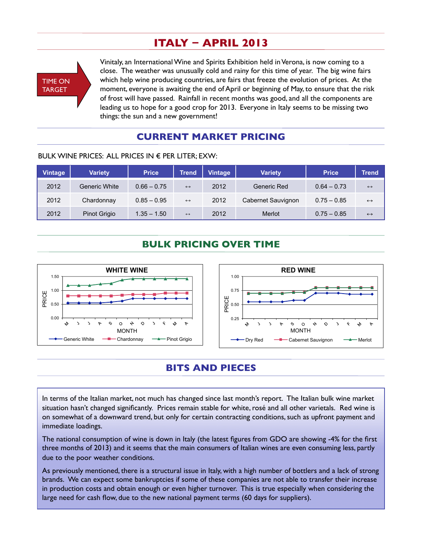# **ITALY − APRIL 2013**



Vinitaly, an International Wine and Spirits Exhibition held in Verona, is now coming to a close. The weather was unusually cold and rainy for this time of year. The big wine fairs which help wine producing countries, are fairs that freeze the evolution of prices. At the moment, everyone is awaiting the end of April or beginning of May, to ensure that the risk of frost will have passed. Rainfall in recent months was good, and all the components are leading us to hope for a good crop for 2013. Everyone in Italy seems to be missing two things: the sun and a new government!

### **CURRENT MARKET PRICING**

| Vintage | <b>Variety</b> | <b>Price</b>  | <b>Trend</b>      | <b>Vintage</b> | <b>Variety</b>     | <b>Price</b>  | Trend'            |
|---------|----------------|---------------|-------------------|----------------|--------------------|---------------|-------------------|
| 2012    | Generic White  | $0.66 - 0.75$ | $\leftrightarrow$ | 2012           | Generic Red        | $0.64 - 0.73$ | $\leftrightarrow$ |
| 2012    | Chardonnay     | $0.85 - 0.95$ | $\leftrightarrow$ | 2012           | Cabernet Sauvignon | $0.75 - 0.85$ | $\leftrightarrow$ |
| 2012    | Pinot Grigio   | $1.35 - 1.50$ | $\leftrightarrow$ | 2012           | Merlot             | $0.75 - 0.85$ | $\leftrightarrow$ |

#### BULK WINE PRICES: ALL PRICES IN  $\epsilon$  PER LITER; EXW:

## **BULK PRICING OVER TIME**



### **BITS AND PIECES**

In terms of the Italian market, not much has changed since last month's report. The Italian bulk wine market situation hasn't changed significantly. Prices remain stable for white, rosé and all other varietals. Red wine is on somewhat of a downward trend, but only for certain contracting conditions, such as upfront payment and immediate loadings.

The national consumption of wine is down in Italy (the latest figures from GDO are showing -4% for the first three months of 2013) and it seems that the main consumers of Italian wines are even consuming less, partly due to the poor weather conditions.

As previously mentioned, there is a structural issue in Italy, with a high number of bottlers and a lack of strong brands. We can expect some bankruptcies if some of these companies are not able to transfer their increase in production costs and obtain enough or even higher turnover. This is true especially when considering the large need for cash flow, due to the new national payment terms (60 days for suppliers).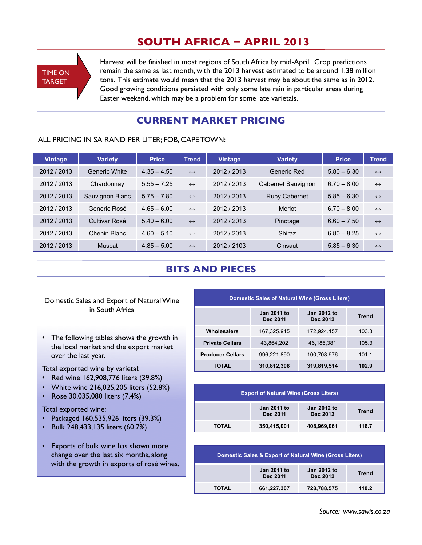# **SOUTH AFRICA − APRIL 2013**



Harvest will be finished in most regions of South Africa by mid-April. Crop predictions remain the same as last month, with the 2013 harvest estimated to be around 1.38 million tons. This estimate would mean that the 2013 harvest may be about the same as in 2012. Good growing conditions persisted with only some late rain in particular areas during Easter weekend, which may be a problem for some late varietals.

### **CURRENT MARKET PRICING**

#### ALL PRICING IN SA RAND PER LITER; FOB, CAPE TOWN:

| <b>Vintage</b> | <b>Variety</b>       | <b>Price</b>  | Trend <b>ˈ</b>    | <b>Vintage</b> | <b>Variety</b>     | <b>Price</b>  | <b>Trend</b>      |
|----------------|----------------------|---------------|-------------------|----------------|--------------------|---------------|-------------------|
| 2012 / 2013    | <b>Generic White</b> | $4.35 - 4.50$ | $\leftrightarrow$ | 2012 / 2013    | Generic Red        | $5.80 - 6.30$ | $\leftrightarrow$ |
| 2012 / 2013    | Chardonnay           | $5.55 - 7.25$ | $\leftrightarrow$ | 2012 / 2013    | Cabernet Sauvignon | $6.70 - 8.00$ | $\leftrightarrow$ |
| 2012 / 2013    | Sauvignon Blanc      | $5.75 - 7.80$ | $\leftrightarrow$ | 2012 / 2013    | Ruby Cabernet      | $5.85 - 6.30$ | $\leftrightarrow$ |
| 2012 / 2013    | Generic Rosé         | $4.65 - 6.00$ | $\leftrightarrow$ | 2012 / 2013    | Merlot             | $6.70 - 8.00$ | $\leftrightarrow$ |
| 2012 / 2013    | Cultivar Rosé        | $5.40 - 6.00$ | $\leftrightarrow$ | 2012 / 2013    | Pinotage           | $6.60 - 7.50$ | $\leftrightarrow$ |
| 2012 / 2013    | Chenin Blanc         | $4.60 - 5.10$ | $\leftrightarrow$ | 2012 / 2013    | Shiraz             | $6.80 - 8.25$ | $\leftrightarrow$ |
| 2012 / 2013    | Muscat               | $4.85 - 5.00$ | $\leftrightarrow$ | 2012 / 2103    | Cinsaut            | $5.85 - 6.30$ | $\leftrightarrow$ |

### **BITS AND PIECES**

#### Domestic Sales and Export of Natural Wine in South Africa

• The following tables shows the growth in the local market and the export market over the last year.

Total exported wine by varietal:

- Red wine 162,908,776 liters (39.8%)
- White wine 216,025,205 liters (52.8%)
- Rose 30,035,080 liters (7.4%)

#### Total exported wine:

- Packaged 160,535,926 liters (39.3%)
- Bulk 248,433,135 liters (60.7%)
- Exports of bulk wine has shown more change over the last six months, along with the growth in exports of rosé wines.

| <b>Domestic Sales of Natural Wine (Gross Liters)</b> |                                                                           |             |       |  |  |  |  |  |
|------------------------------------------------------|---------------------------------------------------------------------------|-------------|-------|--|--|--|--|--|
|                                                      | <b>Jan 2011 to</b><br>Jan 2012 to<br><b>Trend</b><br>Dec 2012<br>Dec 2011 |             |       |  |  |  |  |  |
| <b>Wholesalers</b>                                   | 167,325,915                                                               | 172,924,157 | 103.3 |  |  |  |  |  |
| <b>Private Cellars</b>                               | 43.864.202                                                                | 46,186,381  | 105.3 |  |  |  |  |  |
| <b>Producer Cellars</b>                              | 996,221,890                                                               | 100,708,976 | 101.1 |  |  |  |  |  |
| TOTAL                                                | 310,812,306                                                               | 319,819,514 | 102.9 |  |  |  |  |  |

| <b>Export of Natural Wine (Gross Liters)</b> |                                |                                |              |  |  |  |  |
|----------------------------------------------|--------------------------------|--------------------------------|--------------|--|--|--|--|
|                                              | <b>Jan 2011 to</b><br>Dec 2011 | <b>Jan 2012 to</b><br>Dec 2012 | <b>Trend</b> |  |  |  |  |
| <b>TOTAL</b>                                 | 350,415,001                    | 408,969,061                    | 116.7        |  |  |  |  |

| <b>Domestic Sales &amp; Export of Natural Wine (Gross Liters)</b> |                                |                                |              |  |  |  |  |
|-------------------------------------------------------------------|--------------------------------|--------------------------------|--------------|--|--|--|--|
|                                                                   | <b>Jan 2011 to</b><br>Dec 2011 | <b>Jan 2012 to</b><br>Dec 2012 | <b>Trend</b> |  |  |  |  |
| <b>TOTAL</b>                                                      | 661,227,307                    | 728,788,575                    | 110.2        |  |  |  |  |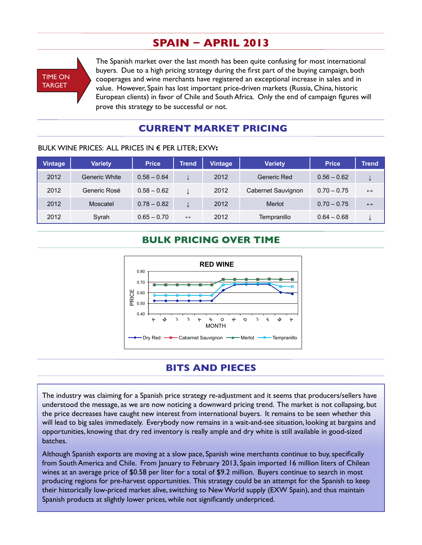# **SPAIN − APRIL 2013**



The Spanish market over the last month has been quite confusing for most international buyers. Due to a high pricing strategy during the first part of the buying campaign, both cooperages and wine merchants have registered an exceptional increase in sales and in value. However, Spain has lost important price-driven markets (Russia, China, historic European clients) in favor of Chile and South Africa. Only the end of campaign figures will prove this strategy to be successful or not.

# **CURRENT MARKET PRICING**

| <b>Vintage</b> | <b>Variety</b> | <b>Price</b>  | <b>Trend</b>      | Vintage | <b>Variety</b>     | <b>Price</b>  | Trend             |
|----------------|----------------|---------------|-------------------|---------|--------------------|---------------|-------------------|
| 2012           | Generic White  | $0.58 - 0.64$ |                   | 2012    | Generic Red        | $0.56 - 0.62$ | ↡                 |
| 2012           | Generic Rosé   | $0.58 - 0.62$ |                   | 2012    | Cabernet Sauvignon | $0.70 - 0.75$ | $\leftrightarrow$ |
| 2012           | Moscatel       | $0.78 - 0.82$ |                   | 2012    | Merlot             | $0.70 - 0.75$ | $\leftrightarrow$ |
| 2012           | Syrah          | $0.65 - 0.70$ | $\leftrightarrow$ | 2012    | Tempranillo        | $0.64 - 0.68$ | ₩                 |

#### BULK WINE PRICES: ALL PRICES IN € PER LITER; EXW**:**

## **BULK PRICING OVER TIME**



### **BITS AND PIECES**

The industry was claiming for a Spanish price strategy re-adjustment and it seems that producers/sellers have understood the message, as we are now noticing a downward pricing trend. The market is not collapsing, but the price decreases have caught new interest from international buyers. It remains to be seen whether this will lead to big sales immediately. Everybody now remains in a wait-and-see situation, looking at bargains and opportunities, knowing that dry red inventory is really ample and dry white is still available in good-sized batches.

Although Spanish exports are moving at a slow pace, Spanish wine merchants continue to buy, specifically from South America and Chile. From January to February 2013, Spain imported 16 million liters of Chilean wines at an average price of \$0.58 per liter for a total of \$9.2 million. Buyers continue to search in most producing regions for pre-harvest opportunities. This strategy could be an attempt for the Spanish to keep their historically low-priced market alive, switching to New World supply (EXW Spain), and thus maintain Spanish products at slightly lower prices, while not significantly underpriced.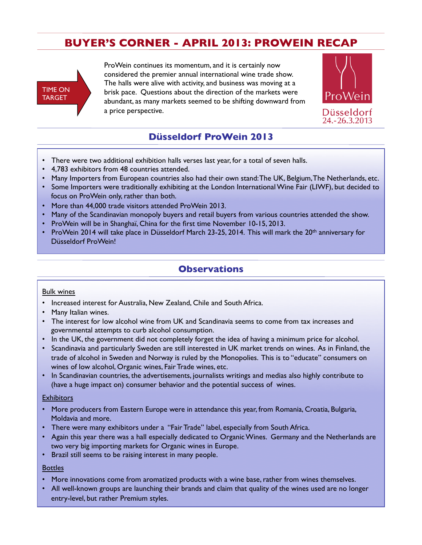# **BUYER'S CORNER - APRIL 2013: PROWEIN RECAP**



ProWein continues its momentum, and it is certainly now considered the premier annual international wine trade show. The halls were alive with activity, and business was moving at a brisk pace. Questions about the direction of the markets were abundant, as many markets seemed to be shifting downward from a price perspective.



# **Düsseldorf ProWein 2013**

- There were two additional exhibition halls verses last year, for a total of seven halls.
- 4,783 exhibitors from 48 countries attended.
- Many Importers from European countries also had their own stand: The UK, Belgium, The Netherlands, etc.
- Some Importers were traditionally exhibiting at the London International Wine Fair (LIWF), but decided to focus on ProWein only, rather than both.
- More than 44,000 trade visitors attended ProWein 2013.
- Many of the Scandinavian monopoly buyers and retail buyers from various countries attended the show.
- ProWein will be in Shanghaï, China for the first time November 10-15, 2013.
- ProWein 2014 will take place in Düsseldorf March 23-25, 2014. This will mark the 20<sup>th</sup> anniversary for Düsseldorf ProWein!

### **Observations**

#### Bulk wines

- Increased interest for Australia, New Zealand, Chile and South Africa.
- Many Italian wines.
- The interest for low alcohol wine from UK and Scandinavia seems to come from tax increases and governmental attempts to curb alcohol consumption.
- In the UK, the government did not completely forget the idea of having a minimum price for alcohol.
- Scandinavia and particularly Sweden are still interested in UK market trends on wines. As in Finland, the trade of alcohol in Sweden and Norway is ruled by the Monopolies. This is to "educate" consumers on wines of low alcohol, Organic wines, Fair Trade wines, etc.
- In Scandinavian countries, the advertisements, journalists writings and medias also highly contribute to (have a huge impact on) consumer behavior and the potential success of wines.

#### **Exhibitors**

- More producers from Eastern Europe were in attendance this year, from Romania, Croatia, Bulgaria, Moldavia and more.
- There were many exhibitors under a "Fair Trade" label, especially from South Africa.
- Again this year there was a hall especially dedicated to Organic Wines. Germany and the Netherlands are two very big importing markets for Organic wines in Europe.
- Brazil still seems to be raising interest in many people.

#### **Bottles**

- More innovations come from aromatized products with a wine base, rather from wines themselves.
- All well-known groups are launching their brands and claim that quality of the wines used are no longer entry-level, but rather Premium styles.